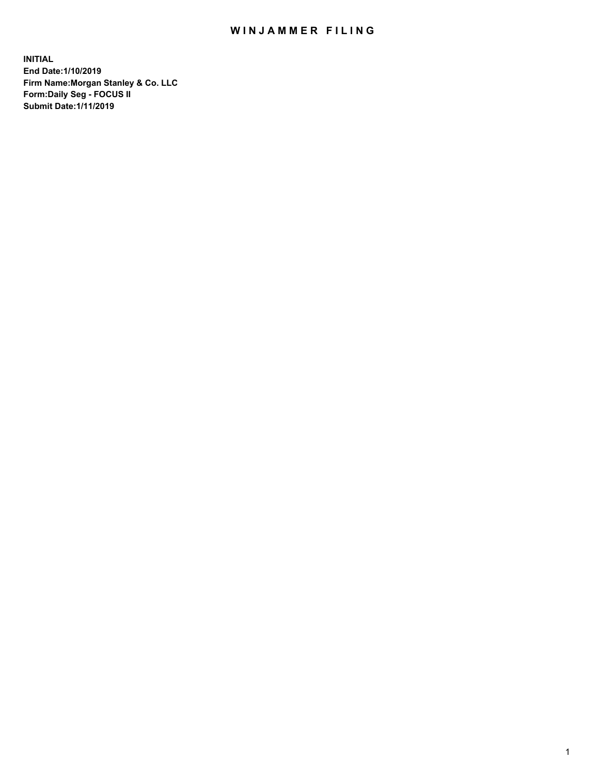## WIN JAMMER FILING

**INITIAL End Date:1/10/2019 Firm Name:Morgan Stanley & Co. LLC Form:Daily Seg - FOCUS II Submit Date:1/11/2019**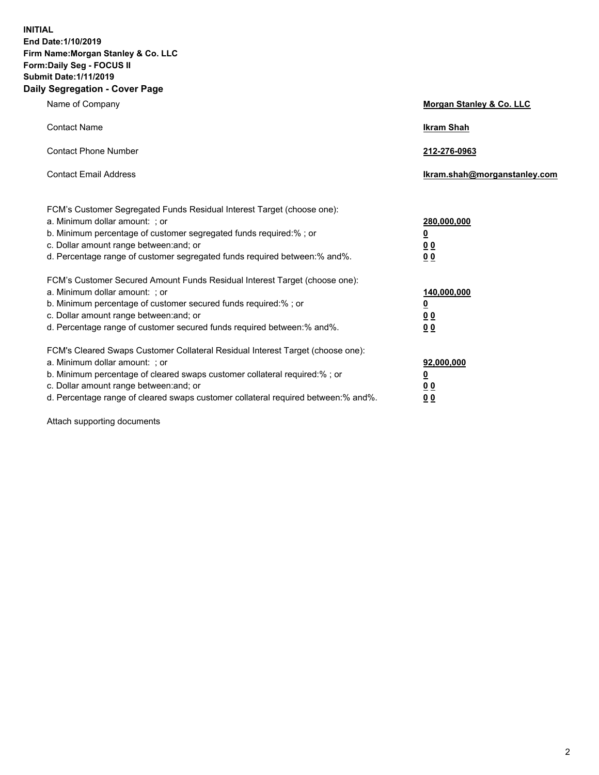**INITIAL End Date:1/10/2019 Firm Name:Morgan Stanley & Co. LLC Form:Daily Seg - FOCUS II Submit Date:1/11/2019 Daily Segregation - Cover Page**

| Name of Company                                                                                                                                                                                                                                                                                                                | Morgan Stanley & Co. LLC                               |
|--------------------------------------------------------------------------------------------------------------------------------------------------------------------------------------------------------------------------------------------------------------------------------------------------------------------------------|--------------------------------------------------------|
| <b>Contact Name</b>                                                                                                                                                                                                                                                                                                            | <b>Ikram Shah</b>                                      |
| <b>Contact Phone Number</b>                                                                                                                                                                                                                                                                                                    | 212-276-0963                                           |
| <b>Contact Email Address</b>                                                                                                                                                                                                                                                                                                   | Ikram.shah@morganstanley.com                           |
| FCM's Customer Segregated Funds Residual Interest Target (choose one):<br>a. Minimum dollar amount: ; or<br>b. Minimum percentage of customer segregated funds required:% ; or<br>c. Dollar amount range between: and; or<br>d. Percentage range of customer segregated funds required between:% and%.                         | 280,000,000<br><u>0</u><br><u>0 0</u><br>0 Q           |
| FCM's Customer Secured Amount Funds Residual Interest Target (choose one):<br>a. Minimum dollar amount: ; or<br>b. Minimum percentage of customer secured funds required:%; or<br>c. Dollar amount range between: and; or<br>d. Percentage range of customer secured funds required between:% and%.                            | 140,000,000<br><u>0</u><br><u>00</u><br>0 <sub>0</sub> |
| FCM's Cleared Swaps Customer Collateral Residual Interest Target (choose one):<br>a. Minimum dollar amount: ; or<br>b. Minimum percentage of cleared swaps customer collateral required:% ; or<br>c. Dollar amount range between: and; or<br>d. Percentage range of cleared swaps customer collateral required between:% and%. | 92,000,000<br><u>0</u><br><u>00</u><br>0 <sub>0</sub>  |

Attach supporting documents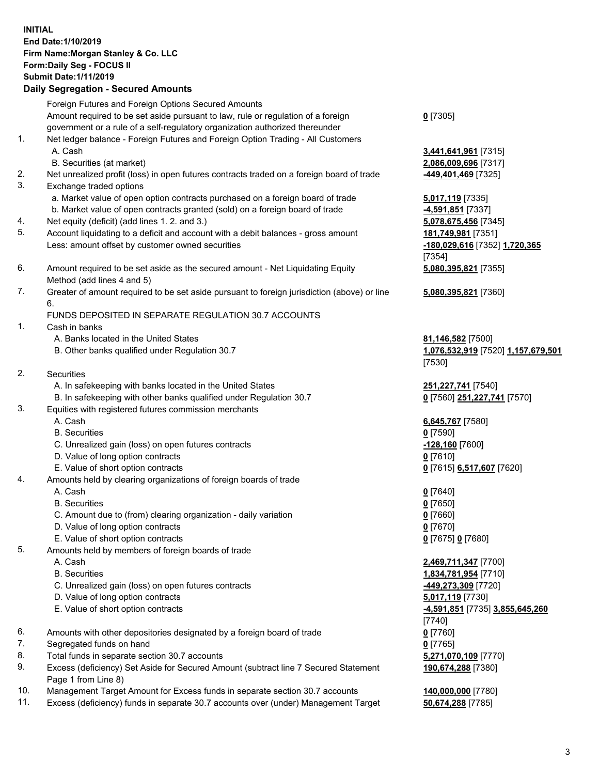## **INITIAL End Date:1/10/2019 Firm Name:Morgan Stanley & Co. LLC Form:Daily Seg - FOCUS II Submit Date:1/11/2019 Daily Segregation - Secured Amounts**

Foreign Futures and Foreign Options Secured Amounts Amount required to be set aside pursuant to law, rule or regulation of a foreign government or a rule of a self-regulatory organization authorized thereunder 1. Net ledger balance - Foreign Futures and Foreign Option Trading - All Customers A. Cash **3,441,641,961** [7315] B. Securities (at market) **2,086,009,696** [7317]

- 2. Net unrealized profit (loss) in open futures contracts traded on a foreign board of trade **-449,401,469** [7325]
- 3. Exchange traded options
	- a. Market value of open option contracts purchased on a foreign board of trade **5,017,119** [7335]
	- b. Market value of open contracts granted (sold) on a foreign board of trade **-4,591,851** [7337]
- 4. Net equity (deficit) (add lines 1. 2. and 3.) **5,078,675,456** [7345]
- 5. Account liquidating to a deficit and account with a debit balances gross amount **181,749,981** [7351] Less: amount offset by customer owned securities **-180,029,616** [7352] **1,720,365**
- 6. Amount required to be set aside as the secured amount Net Liquidating Equity Method (add lines 4 and 5)
- 7. Greater of amount required to be set aside pursuant to foreign jurisdiction (above) or line 6.

## FUNDS DEPOSITED IN SEPARATE REGULATION 30.7 ACCOUNTS

- 1. Cash in banks
	- A. Banks located in the United States **81,146,582** [7500]
	- B. Other banks qualified under Regulation 30.7 **1,076,532,919** [7520] **1,157,679,501**
- 2. Securities
	- A. In safekeeping with banks located in the United States **251,227,741** [7540]
	- B. In safekeeping with other banks qualified under Regulation 30.7 **0** [7560] **251,227,741** [7570]
- 3. Equities with registered futures commission merchants
	-
	- B. Securities **0** [7590]
	- C. Unrealized gain (loss) on open futures contracts **-128,160** [7600]
	- D. Value of long option contracts **0** [7610]
- E. Value of short option contracts **0** [7615] **6,517,607** [7620]
- 4. Amounts held by clearing organizations of foreign boards of trade
	- A. Cash **0** [7640]
	- B. Securities **0** [7650]
	- C. Amount due to (from) clearing organization daily variation **0** [7660]
	- D. Value of long option contracts **0** [7670]
	- E. Value of short option contracts **0** [7675] **0** [7680]
- 5. Amounts held by members of foreign boards of trade
	-
	-
	- C. Unrealized gain (loss) on open futures contracts **-449,273,309** [7720]
	- D. Value of long option contracts **5,017,119** [7730]
	- E. Value of short option contracts **-4,591,851** [7735] **3,855,645,260**
- 6. Amounts with other depositories designated by a foreign board of trade **0** [7760]
- 7. Segregated funds on hand **0** [7765]
- 8. Total funds in separate section 30.7 accounts **5,271,070,109** [7770]
- 9. Excess (deficiency) Set Aside for Secured Amount (subtract line 7 Secured Statement Page 1 from Line 8)
- 10. Management Target Amount for Excess funds in separate section 30.7 accounts **140,000,000** [7780]
- 11. Excess (deficiency) funds in separate 30.7 accounts over (under) Management Target **50,674,288** [7785]

**0** [7305]

[7354] **5,080,395,821** [7355]

**5,080,395,821** [7360]

[7530]

A. Cash **6,645,767** [7580]

 A. Cash **2,469,711,347** [7700] B. Securities **1,834,781,954** [7710] [7740] **190,674,288** [7380]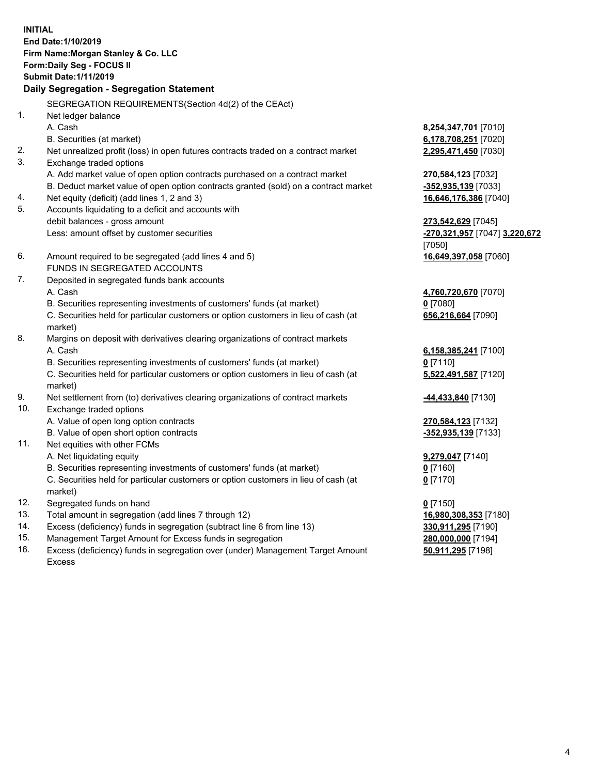**INITIAL End Date:1/10/2019 Firm Name:Morgan Stanley & Co. LLC Form:Daily Seg - FOCUS II Submit Date:1/11/2019 Daily Segregation - Segregation Statement** SEGREGATION REQUIREMENTS(Section 4d(2) of the CEAct) 1. Net ledger balance A. Cash **8,254,347,701** [7010] B. Securities (at market) **6,178,708,251** [7020] 2. Net unrealized profit (loss) in open futures contracts traded on a contract market **2,295,471,450** [7030] 3. Exchange traded options A. Add market value of open option contracts purchased on a contract market **270,584,123** [7032] B. Deduct market value of open option contracts granted (sold) on a contract market **-352,935,139** [7033] 4. Net equity (deficit) (add lines 1, 2 and 3) **16,646,176,386** [7040] 5. Accounts liquidating to a deficit and accounts with debit balances - gross amount **273,542,629** [7045] Less: amount offset by customer securities **-270,321,957** [7047] **3,220,672** [7050] 6. Amount required to be segregated (add lines 4 and 5) **16,649,397,058** [7060] FUNDS IN SEGREGATED ACCOUNTS 7. Deposited in segregated funds bank accounts A. Cash **4,760,720,670** [7070] B. Securities representing investments of customers' funds (at market) **0** [7080] C. Securities held for particular customers or option customers in lieu of cash (at market) **656,216,664** [7090] 8. Margins on deposit with derivatives clearing organizations of contract markets A. Cash **6,158,385,241** [7100] B. Securities representing investments of customers' funds (at market) **0** [7110] C. Securities held for particular customers or option customers in lieu of cash (at market) **5,522,491,587** [7120] 9. Net settlement from (to) derivatives clearing organizations of contract markets **-44,433,840** [7130] 10. Exchange traded options A. Value of open long option contracts **270,584,123** [7132] B. Value of open short option contracts **-352,935,139** [7133] 11. Net equities with other FCMs A. Net liquidating equity **9,279,047** [7140] B. Securities representing investments of customers' funds (at market) **0** [7160] C. Securities held for particular customers or option customers in lieu of cash (at market) **0** [7170] 12. Segregated funds on hand **0** [7150] 13. Total amount in segregation (add lines 7 through 12) **16,980,308,353** [7180] 14. Excess (deficiency) funds in segregation (subtract line 6 from line 13) **330,911,295** [7190]

- 15. Management Target Amount for Excess funds in segregation **280,000,000** [7194]
- 16. Excess (deficiency) funds in segregation over (under) Management Target Amount Excess

**50,911,295** [7198]